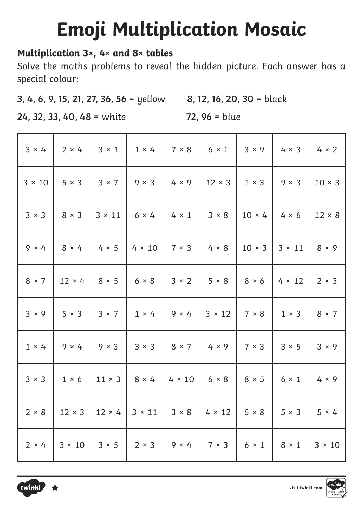# **Emoji Multiplication Mosaic**

#### **Multiplication 3×, 4× and 8× tables**

Solve the maths problems to reveal the hidden picture. Each answer has a special colour:

**3, 4, 6, 9, 15, 21, 27, 36, 56** = yellow **8, 12, 16, 20, 30** = black

**24, 32, 33, 40, 48** = white **72, 96** = blue

| $3 \times 4$  |                             |                            | $3 \times 1$   $1 \times 4$ | $7 \times 8$                                                                                | $6 \times 1$ 3 $\times$ 9 |                            | $4 \times 3$  | $4 \times 2$  |
|---------------|-----------------------------|----------------------------|-----------------------------|---------------------------------------------------------------------------------------------|---------------------------|----------------------------|---------------|---------------|
| $3 \times 10$ |                             |                            |                             | 5 × 3   3 × 7   9 × 3   4 × 9   12 × 3   1 × 3                                              |                           |                            | $9 \times 3$  | $10 \times 3$ |
| $3 \times 3$  | $8 \times 3$                | $3 \times 11$              | $6 \times 4$                | $4 \times 1$                                                                                | $3 \times 8$              | $10 \times 4$ 4 $\times 6$ |               | $12 \times 8$ |
| $9 \times 4$  | 8 × 4                       |                            |                             | $4 \times 5$   4 $\times$ 10   7 $\times$ 3   4 $\times$ 8   10 $\times$ 3   3 $\times$ 11  |                           |                            |               | $8 \times 9$  |
| $8 \times 7$  | $12 \times 4$               | $8 \times 5$ 6 $\times$ 8  |                             | $3 \times 2$ 5 $\times$ 8 8 8 $\times$ 6                                                    |                           |                            | $4 \times 12$ | $2 \times 3$  |
| 3 × 9         | $5 \times 3$                |                            |                             | $3 \times 7$   1 × 4   9 × 4   3 × 12   7 × 8                                               |                           |                            | $1 \times 3$  | $8 \times 7$  |
| $1 \times 4$  |                             |                            |                             | 9 × 4   9 × 3   3 × 3   8 × 7   4 × 9   7 × 3                                               |                           |                            | $3 \times 5$  | $3 \times 9$  |
|               | $3 \times 3$   $1 \times 6$ | $11 \times 3$ 8 $\times$ 4 |                             | $4 \times 10$   6 $\times$ 8   8 $\times$ 5   6 $\times$ 1                                  |                           |                            |               | $4 \times 9$  |
| $2 \times 8$  |                             |                            |                             | $12 \times 3$   $12 \times 4$   $3 \times 11$   $3 \times 8$   $4 \times 12$   $5 \times 8$ |                           |                            | $5 \times 3$  | $5 \times 4$  |
| $2 \times 4$  |                             |                            |                             | 3 × 10   3 × 5   2 × 3   9 × 4   7 × 3   6 × 1   8 × 1                                      |                           |                            |               | $3 \times 10$ |



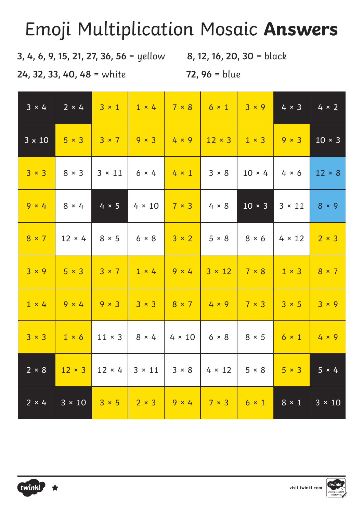### Emoji Multiplication Mosaic **Answers**

**3, 4, 6, 9, 15, 21, 27, 36, 56** = yellow **8, 12, 16, 20, 30** = black

**24, 32, 33, 40, 48** = white **72, 96** = blue

| $3 \times 4$  | $2 \times 4$                |                             | $3 \times 1$ 1 $\times$ 4                                                                               | $7 \times 8$                           | $6 \times 1$               | $3 \times 9$  | $4 \times 3$              | $4 \times 2$  |
|---------------|-----------------------------|-----------------------------|---------------------------------------------------------------------------------------------------------|----------------------------------------|----------------------------|---------------|---------------------------|---------------|
| $3 \times 10$ |                             |                             | 5 × 3   3 × 7   9 × 3   4 × 9   12 × 3   1 × 3                                                          |                                        |                            |               | $9 \times 3$              | $10 \times 3$ |
| $3 \times 3$  | $8 \times 3$                | $3 \times 11$               | $6 \times 4$                                                                                            | $4 \times 1$                           | $3 \times 8$               | $10 \times 4$ | $4 \times 6$              | $12 \times 8$ |
| $9 \times 4$  | $8 \times 4$                | $4 \times 5$                | $4 \times 10$ 7 $\times$ 3 4 $\times$ 8                                                                 |                                        |                            | $10 \times 3$ | $3 \times 11$             | $8 \times 9$  |
| $8 \times 7$  | $12 \times 4$               | $8 \times 5$                |                                                                                                         | $6 \times 8$ 3 $\times 2$ 5 $\times 8$ |                            | $8 \times 6$  | $4 \times 12$             | $2 \times 3$  |
|               |                             |                             | $3 \times 9$   $5 \times 3$   $3 \times 7$   $1 \times 4$   $9 \times 4$   $3 \times 12$   $7 \times 8$ |                                        |                            |               | $1 \times 3$ 8 $\times$ 7 |               |
| $1 \times 4$  |                             |                             | $9 \times 4$ 9 $\times 3$ 3 $\times 3$ 8 $\times 7$ 4 $\times 9$                                        |                                        |                            | $7 \times 3$  | $3 \times 5$ 3 $\times$ 9 |               |
|               | $3 \times 3$   $1 \times 6$ | $11 \times 3$               | $8 \times 4$                                                                                            | $4 \times 10$ 6 $\times$ 8             |                            | $8 \times 5$  | $6 \times 1$ 4 $\times$ 9 |               |
| $2 \times 8$  |                             | $12 \times 3$ 12 $\times$ 4 | $3 \times 11$   $3 \times 8$                                                                            |                                        | $4 \times 12$ 5 $\times$ 8 |               | $5 \times 3$              | $5 \times 4$  |
|               | $2 \times 4$ 3 × 10         |                             | $3 \times 5$ 2 $\times 3$ 9 $\times 4$ 7 $\times 3$ 6 $\times 1$                                        |                                        |                            |               | $8 \times 1$              | $3 \times 10$ |

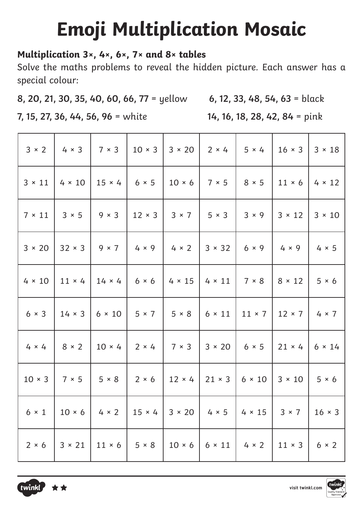# **Emoji Multiplication Mosaic**

#### **Multiplication 3×, 4×, 6×, 7× and 8× tables**

Solve the maths problems to reveal the hidden picture. Each answer has a special colour:

**8, 20, 21, 30, 35, 40, 60, 66, 77** = yellow **6, 12, 33, 48, 54, 63** = black

**7, 15, 27, 36, 44, 56, 96** = white **14, 16, 18, 28, 42, 84** = pink

|               |               |               |                                                                                                                            |                                          | $3 \times 2$   4 $\times$ 3   7 $\times$ 3   10 $\times$ 3   3 $\times$ 20   2 $\times$ 4   5 $\times$ 4   16 $\times$ 3                  | $3 \times 18$ |
|---------------|---------------|---------------|----------------------------------------------------------------------------------------------------------------------------|------------------------------------------|-------------------------------------------------------------------------------------------------------------------------------------------|---------------|
|               |               |               | $3 \times 11$   4 $\times$ 10   15 $\times$ 4   6 $\times$ 5   10 $\times$ 6   7 $\times$ 5   8 $\times$ 5   11 $\times$ 6 |                                          |                                                                                                                                           | $4 \times 12$ |
|               |               |               | $7 \times 11$   $3 \times 5$   $9 \times 3$   $12 \times 3$   $3 \times 7$   $5 \times 3$   $3 \times 9$                   |                                          | $3 \times 12$                                                                                                                             | $3 \times 10$ |
|               |               |               |                                                                                                                            |                                          | $3 \times 20$   32 × 3   9 × 7   4 × 9   4 × 2   3 × 32   6 × 9   4 × 9                                                                   | $4 \times 5$  |
| $4 \times 10$ | $11 \times 4$ | $14 \times 4$ | $6 \times 6$                                                                                                               | $4 \times 15$ $4 \times 11$ 7 $\times$ 8 | $8 \times 12$                                                                                                                             | $5 \times 6$  |
|               |               |               |                                                                                                                            |                                          | $6 \times 3$   14 $\times$ 3   6 $\times$ 10   5 $\times$ 7   5 $\times$ 8   6 $\times$ 11   11 $\times$ 7   12 $\times$ 7   4 $\times$ 7 |               |
|               |               |               |                                                                                                                            |                                          | $4 \times 4$   $8 \times 2$   $10 \times 4$   $2 \times 4$   $7 \times 3$   $3 \times 20$   $6 \times 5$   $21 \times 4$   $6 \times 14$  |               |
|               |               |               |                                                                                                                            |                                          | $10 \times 3$   $7 \times 5$   $5 \times 8$   $2 \times 6$   $12 \times 4$   $21 \times 3$   $6 \times 10$   $3 \times 10$   $5 \times 6$ |               |
|               |               |               |                                                                                                                            |                                          | $6 \times 1$   10 × 6   4 × 2   15 × 4   3 × 20   4 × 5   4 × 15   3 × 7   16 × 3                                                         |               |
|               |               |               |                                                                                                                            |                                          | $2 \times 6$   $3 \times 21$   $11 \times 6$   $5 \times 8$   $10 \times 6$   $6 \times 11$   $4 \times 2$   $11 \times 3$   $6 \times 2$ |               |



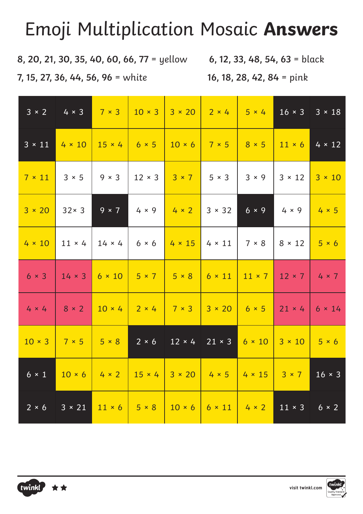### Emoji Multiplication Mosaic **Answers**

**8, 20, 21, 30, 35, 40, 60, 66, 77** = yellow **6, 12, 33, 48, 54, 63** = black

**7, 15, 27, 36, 44, 56, 96** = white **16, 18, 28, 42, 84** = pink

| $3 \times 2$  | $4 \times 3$  | $7 \times 3$  | $10 \times 3$                               | $3 \times 20$                                         | $2 \times 4$               | $5 \times 4$               | $16 \times 3$ | $3 \times 18$ |
|---------------|---------------|---------------|---------------------------------------------|-------------------------------------------------------|----------------------------|----------------------------|---------------|---------------|
| $3 \times 11$ | $4 \times 10$ | $15 \times 4$ | $6 \times 5$                                | $10 \times 6$ 7 $\times$ 5                            |                            | $8 \times 5$               | $11 \times 6$ | $4 \times 12$ |
| $7 \times 11$ | $3 \times 5$  | $9 \times 3$  | $12 \times 3$                               | $3 \times 7$                                          | $5 \times 3$               | $3 \times 9$               | $3 \times 12$ | $3 \times 10$ |
| $3 \times 20$ | $32 \times 3$ | $9 \times 7$  | $4 \times 9$                                | $4 \times 2$ 3 $\times$ 32                            |                            | $6 \times 9$               | $4 \times 9$  | $4 \times 5$  |
| $4 \times 10$ | $11 \times 4$ | $14 \times 4$ | $6 \times 6$                                | $4 \times 15$                                         | $\vert 4 \times 11 \vert$  | 7 × 8                      | $8 \times 12$ | $5 \times 6$  |
| $6 \times 3$  | $14 \times 3$ |               | $6 \times 10$   $5 \times 7$   $5 \times 8$ |                                                       | $6 \times 11$              | $11 \times 7$              | $12 \times 7$ | $4 \times 7$  |
| $4 \times 4$  | $8 \times 2$  |               |                                             | $10 \times 4$ 2 $\times 4$ 7 $\times 3$ 3 $\times 20$ |                            | $6 \times 5$ 21 $\times$ 4 |               | $6 \times 14$ |
| $10 \times 3$ | 7 × 5         | $5 \times 8$  | $2 \times 6$                                | $12 \times 4$                                         | $21 \times 3$              | $6 \times 10$              | $3 \times 10$ | $5 \times 6$  |
| $6 \times 1$  |               |               |                                             | $10 \times 6$ 4 × 2 15 × 4 3 × 20 4 × 5 4 × 15 3 × 7  |                            |                            |               | $16 \times 3$ |
| $2 \times 6$  | $3 \times 21$ |               | $11 \times 6$ 5 $\times$ 8                  | $10 \times 6$                                         | $6 \times 11$ 4 $\times$ 2 |                            | $11 \times 3$ | $6 \times 2$  |



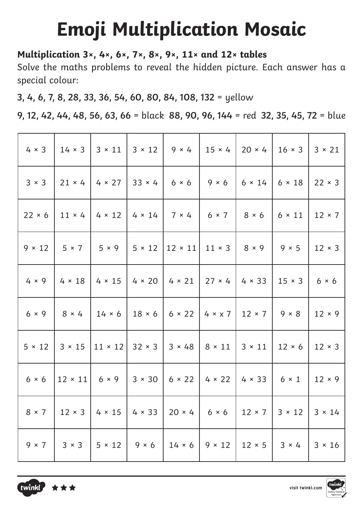# **Emoji Multiplication Mosaic**

#### **Multiplication 3×, 4×, 6×, 7×, 8×, 9×, 11× and 12× tables**

Solve the maths problems to reveal the hidden picture. Each answer has a special colour:

**3, 4, 6, 7, 8, 28, 33, 36, 54, 60, 80, 84, 108, 132** = yellow

**9, 12, 42, 44, 48, 56, 63, 66** = black **88, 90, 96, 144** = red **32, 35, 45, 72** = blue

|               |               |                                                                | $4 \times 3$   14 $\times$ 3   3 $\times$ 11   3 $\times$ 12   9 $\times$ 4   15 $\times$ 4   20 $\times$ 4   16 $\times$ 3 |                                           |               | $3 \times 21$ |
|---------------|---------------|----------------------------------------------------------------|-----------------------------------------------------------------------------------------------------------------------------|-------------------------------------------|---------------|---------------|
| $3 \times 3$  | $21 \times 4$ |                                                                | $4 \times 27$ 33 $\times$ 4 6 $\times$ 6 9 $\times$ 6                                                                       | $6 \times 14$ 6 $\times$ 18               |               | $22 \times 3$ |
| $22 \times 6$ |               |                                                                | $11 \times 4$ 4 $\times$ 12 4 $\times$ 14 7 $\times$ 4 6 $\times$ 7 8 $\times$ 6                                            |                                           | $6 \times 11$ | $12 \times 7$ |
| $9 \times 12$ |               | $5 \times 7$ 5 $\times$ 9                                      | $  5 \times 12   12 \times 11   11 \times 3   8 \times 9  $                                                                 |                                           | $9 \times 5$  | $12 \times 3$ |
|               |               | $4 \times 9$   $4 \times 18$   $4 \times 15$                   | $4 \times 20$   4 $\times$ 21   27 $\times$ 4   4 $\times$ 33   15 $\times$ 3                                               |                                           |               | $6 \times 6$  |
|               |               | $6 \times 9$   $8 \times 4$   14 $\times 6$                    | $18 \times 6$   6 $\times$ 22   4 $\times$ x 7   12 $\times$ 7   9 $\times$ 8                                               |                                           |               | $12 \times 9$ |
| $5 \times 12$ |               | $3 \times 15$   11 $\times$ 12   32 $\times$ 3   3 $\times$ 48 |                                                                                                                             | $8 \times 11$ 3 $\times$ 11 12 $\times$ 6 |               | $12 \times 3$ |
| $6 \times 6$  |               |                                                                |                                                                                                                             |                                           |               | $12 \times 9$ |
|               |               |                                                                | $8 \times 7$   12 $\times$ 3   4 $\times$ 15   4 $\times$ 33   20 $\times$ 4   6 $\times$ 6   12 $\times$ 7   3 $\times$ 12 |                                           |               | $3 \times 14$ |
| $9 \times 7$  |               |                                                                | $3 \times 3$   $5 \times 12$   $9 \times 6$   $14 \times 6$   $9 \times 12$   $12 \times 5$   $3 \times 4$                  |                                           |               | $3 \times 16$ |